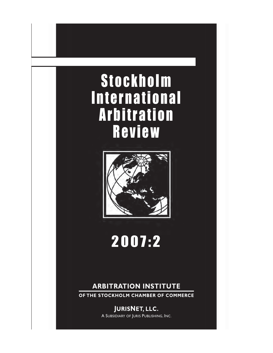# Stockholm International Arbitration Review



# 2007:2

### **ARBITRATION INSTITUTE**

**OF THE STOCKHOLM CHAMBER OF COMMERCE**

**JURISNET, LLC.** A SUBSIDIARY OF JURIS PUBLISHING, INC.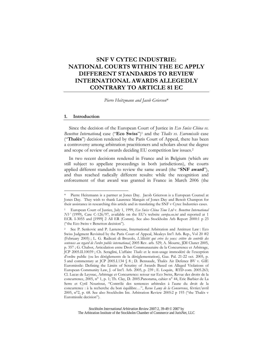### **SNF V CYTEC INDUSTRIE: NATIONAL COURTS WITHIN THE EC APPLY DIFFERENT STANDARDS TO REVIEW INTERNATIONAL AWARDS ALLEGEDLY CONTRARY TO ARTICLE 81 EC**

*Pierre Heitzmann and Jacob Grierson*\*

#### **1. Introduction**

 $\overline{a}$ 

Since the decision of the European Court of Justice in *Eco Swiss China vs. Benetton Internationa*l case ("**Eco Swiss**")1 and the *Thalès vs. Euromissile* case ("**Thalès**") decision rendered by the Paris Court of Appeal, there has been a controversy among arbitration practitioners and scholars about the degree and scope of review of awards deciding EU competition law issues.2

In two recent decisions rendered in France and in Belgium (which are still subject to appellate proceedings in both jurisdictions), the courts applied different standards to review the same award (the "**SNF award**"), and thus reached radically different results: while the recognition and enforcement of that award was granted in France in March 2006 (the

Pierre Heitzmann is a partner at Jones Day. Jacob Grierson is a European Counsel at Jones Day. They wish to thank Laurence Marquis of Jones Day and Benoît Champon for their assistance in researching this article and in translating the SNF v Cytec Industries cases.

<sup>1</sup> European Court of Justice, July 1, 1999, *Eco Swiss China Time Ltd* v. *Benetton International NV* (1999), Case C-126/97, available on the EU's website *europa.eu.int* and reported at 1 ECR. I-3055 and [1999] 2 All ER (Comm). See also Stockholm Arb Report 2000:1 p 23 ("the Eco Swiss v Benetton decision").

<sup>2</sup> See P. Senkovic and P. Lastenouse, International Arbitration and Antitrust Law : Eco Swiss Judgment Revisited by the Paris Court of Appeal, Mealeys Int'l Arb. Rep., Vol 20 #2 (February 2005) ; L. G. Radicati di Brozolo, *L'illicéité qui crève les yeux: critère du contrôle des sentences au regard de l'ordre public international*, 2005 Rev. arb. 529; A. Mourre, JDI Clunet 2005, p. 357 ; G. Chabot, Articulation entre Droit Communautaire de la Concurrence et Arbitrage, JCP 2005.II.10039 ; Ch. Seraglini, L'affaire *Thalès* et le non-usage immodéré de l'exception d'ordre public (ou les dérèglements de la déréglementation), Gaz. Pal. 21-22 oct. 2005, p. 5 and commentary at JCP 2005.I.134 § 8 ; D. Bensaude, Thalès Air Defence BV v. GIE Euromissile: Defining the Limits of Scrutiny of Awards Based on Alleged Violations of European Community Law, J. of Int'l. Arb. 2005, p. 239 ; E. Loquin, RTD com. 2005.263; Cl. Lucas de Leyssac, Arbitrage et Concurrence: retour sur Eco Swiss, Revue des droits de la concurrence, 2005, n° 1, p. 1; Th. Clay, D. 2005.Panorama, cahier n° 44, Eric Barbier de La Serre et Cyril Nourissat, "Contrôle des sentences arbitrales à l'aune du droit de la concurrence : à la recherche du bon équilibre…", *Revue Lamy de la Concurrence*, février/avril 2005, n°2, p. 68. See also Stockholm Int. Arbitration Review 2005:2 p 193 ("the Thalès v Euromissile decision").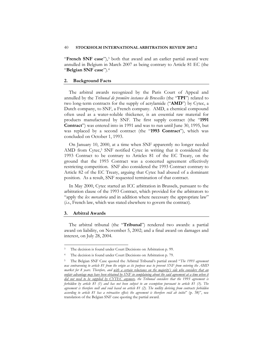#### 40 **STOCKHOLM INTERNATIONAL ARBITRATION REVIEW 2007:2**

"**French SNF case**"),3 both that award and an earlier partial award were annulled in Belgium in March 2007 as being contrary to Article 81 EC (the "**Belgian SNF case**").4

#### **2. Background Facts**

The arbitral awards recognized by the Paris Court of Appeal and annulled by the *Tribunal de première instance de Bruxelles* (the "**TPI**") related to two long-term contracts for the supply of acrylamide ("**AMD**") by Cytec, a Dutch company, to SNF, a French company. AMD, a chemical compound often used as a water-soluble thickener, is an essential raw material for products manufactured by SNF. The first supply contract (the "**1991 Contract**") was entered into in 1991 and was to run until June 30, 1995, but was replaced by a second contract (the "**1993 Contract**"), which was concluded on October 1, 1993.

On January 10, 2000, at a time when SNF apparently no longer needed AMD from Cytec,<sup>5</sup> SNF notified Cytec in writing that it considered the 1993 Contract to be contrary to Articles 81 of the EC Treaty, on the ground that the 1993 Contract was a concerted agreement effectively restricting competition. SNF also considered the 1993 Contract contrary to Article 82 of the EC Treaty, arguing that Cytec had abused of a dominant position. As a result, SNF requested termination of that contract.

In May 2000, Cytec started an ICC arbitration in Brussels, pursuant to the arbitration clause of the 1993 Contract, which provided for the arbitrators to "apply the *lex mercatoria* and in addition where necessary the appropriate law" (*i.e.*, French law, which was stated elsewhere to govern the contract).

#### **3. Arbitral Awards**

 $\overline{a}$ 

The arbitral tribunal (the "**Tribunal**") rendered two awards: a partial award on liability, on November 5, 2002; and a final award on damages and interest, on July 28, 2004.

The decision is found under Court Decisions on Arbitration p. 99.

<sup>4</sup> The decision is found under Court Decisions on Arbitration p. 79.

<sup>5</sup> The Belgian SNF Case quoted the Arbitral Tribunal's partial award "*The 1993 agreement was contravening to article 81 from the origin as its purpose was to prevent SNF from entering the AMD market for 8 years. Therefore, and with a certain reluctance on the majority's side who considers that an unfair advantage may have been obtained by SNF in complaining about the said agreement at a time when it did not need to be supplied by CYTEC anymore, the Tribunal considers that the 1993 agreement is forbidden by article 81 (1) and has not been subject to an exemption pursuant to article 81 (3). The agreement is therefore null and void based on article 81 (2). The nullity deriving from contracts forbidden according to article 81 has a retroactive effect; the agreement is therefore void ab initio*" (p. 38)", see translation of the Belgian SNF case quoting the partial award.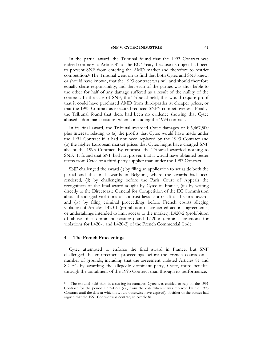In the partial award, the Tribunal found that the 1993 Contract was indeed contrary to Article 81 of the EC Treaty, because its object had been to prevent SNF from entering the AMD market and therefore to restrict competition.6 The Tribunal went on to find that both Cytec and SNF knew, or should have known, that the 1993 contract was null and should therefore equally share responsibility, and that each of the parties was thus liable to the other for half of any damage suffered as a result of the nullity of the contract. In the case of SNF, the Tribunal held, this would require proof that it could have purchased AMD from third-parties at cheaper prices, or that the 1993 Contract as executed reduced SNF's competitiveness. Finally, the Tribunal found that there had been no evidence showing that Cytec abused a dominant position when concluding the 1993 contract.

In its final award, the Tribunal awarded Cytec damages of  $\epsilon$  6,467,500 plus interest, relating to (a) the profits that Cytec would have made under the 1991 Contract if it had not been replaced by the 1993 Contract and (b) the higher European market prices that Cytec might have charged SNF absent the 1993 Contract. By contrast, the Tribunal awarded nothing to SNF. It found that SNF had not proven that it would have obtained better terms from Cytec or a third-party supplier than under the 1993 Contract.

SNF challenged the award (i) by filing an application to set aside both the partial and the final awards in Belgium, where the awards had been rendered, (ii) by challenging before the Paris Court of Appeals the recognition of the final award sought by Cytec in France, (iii) by writing directly to the Directorate General for Competition of the EC Commission about the alleged violations of antitrust laws as a result of the final award; and (iv) by filing criminal proceedings before French courts alleging violation of Articles L420-1 (prohibition of concerted actions, agreements, or undertakings intended to limit access to the market), L420-2 (prohibition of abuse of a dominant position) and L420-6 (criminal sanctions for violations for L420-1 and L420-2) of the French Commercial Code.

#### **4. The French Proceedings**

 $\overline{a}$ 

Cytec attempted to enforce the final award in France, but SNF challenged the enforcement proceedings before the French courts on a number of grounds, including that the agreement violated Articles 81 and 82 EC by awarding the allegedly dominant party, Cytec, more benefits through the annulment of the 1993 Contract than through its performance.

The tribunal held that, in assessing its damages, Cytec was entitled to rely on the 1991 Contract for the period 1993-1995 (*i.e.*, from the date when it was replaced by the 1993 Contract until the date at which it would otherwise have expired). Neither of the parties had argued that the 1991 Contract was contrary to Article 81.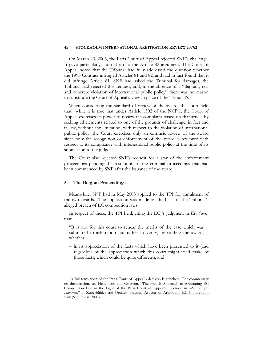#### 42 **STOCKHOLM INTERNATIONAL ARBITRATION REVIEW 2007:2**

On March 23, 2006, the Paris Court of Appeal rejected SNF's challenge. It gave particularly short shrift to the Article 82 argument. The Court of Appeal noted that the Tribunal had fully addressed the question whether the 1993 Contract infringed Articles 81 and 82, and had in fact found that it did infringe Article 81. SNF had asked the Tribunal for damages, the Tribunal had rejected this request, and, in the absence of a "flagrant, real and concrete violation of international public policy" there was no reason to substitute the Court of Appeal's view in place of the Tribunal's.7

When considering the standard of review of the award, the court held that "while it is true that under Article 1502 of the NCPC, the Court of Appeal exercises its power to review the complaint based on that article by seeking all elements related to one of the grounds of challenge, in fact and in law, without any limitation, with respect to the violation of international public policy, the Court exercises only an extrinsic review of the award since only the recognition or enforcement of the award is reviewed with respect to its compliance with international public policy at the time of its submission to the judge."

The Court also rejected SNF's request for a stay of the enforcement proceedings pending the resolution of the criminal proceedings that had been commenced by SNF after the issuance of the award.

#### **5. The Belgian Proceedings**

 $\overline{a}$ 

Meanwhile, SNF had in May 2005 applied to the TPI for annulment of the two awards. The application was made on the basis of the Tribunal's alleged breach of EC competition laws.

In respect of these, the TPI held, citing the ECJ's judgment in *Eco Swiss*, that:

"It is not for this court to rehear the merits of the case which was submitted to arbitration but rather to verify, by reading the award, whether:

– in its appreciation of the facts which have been presented to it (and regardless of the appreciation which this court might itself make of those facts, which could be quite different), and

<sup>7</sup> A full translation of the Paris Court of Appeal's decision is attached. For commentary on the decision, see Heitzmann and Grierson, "The French Approach to Arbitrating EC Competition Law in the Light of the Paris Court of Appeal's Decision in *SNF v Cytec Industries*," in Zuberbühler and Oetiker, Practical Aspects of Arbitrating EC Competition Law (Schulthess, 2007).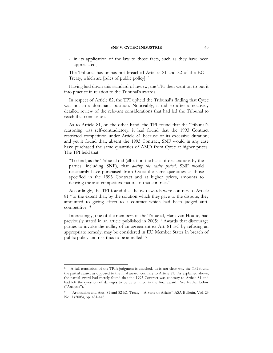- in its application of the law to those facts, such as they have been appreciated,

The Tribunal has or has not breached Articles 81 and 82 of the EC Treaty, which are [rules of public policy]."

Having laid down this standard of review, the TPI then went on to put it into practice in relation to the Tribunal's awards.

In respect of Article 82, the TPI upheld the Tribunal's finding that Cytec was not in a dominant position. Noticeably, it did so after a relatively detailed review of the relevant considerations that had led the Tribunal to reach that conclusion.

As to Article 81, on the other hand, the TPI found that the Tribunal's reasoning was self-contradictory: it had found that the 1993 Contract restricted competition under Article 81 because of its excessive duration; and yet it found that, absent the 1993 Contract, SNF would in any case have purchased the same quantities of AMD from Cytec at higher prices. The TPI held that:

"To find, as the Tribunal did (albeit on the basis of declarations by the parties, including SNF), that *during the entire period*, SNF would necessarily have purchased from Cytec the same quantities as those specified in the 1993 Contract and at higher prices, amounts to denying the anti-competitive nature of that contract."

Accordingly, the TPI found that the two awards were contrary to Article 81 "to the extent that, by the solution which they gave to the dispute, they amounted to giving effect to a contract which had been judged anticompetitive."8

Interestingly, one of the members of the Tribunal, Hans van Houtte, had previously stated in an article published in 2005: "Awards that discourage parties to invoke the nullity of an agreement ex Art. 81 EC by refusing an appropriate remedy, may be considered in EU Member States in breach of public policy and risk thus to be annulled."9

<sup>8</sup> A full translation of the TPI's judgment is attached. It is not clear why the TPI found the partial award, as opposed to the final award, contrary to Article 81. As explained above, the partial award had merely found that the 1993 Contract was contrary to Article 81 and had left the question of damages to be determined in the final award. See further below ("Analysis").

<sup>9</sup> "Arbitration and Arts. 81 and 82 EC Treaty – A State of Affairs" ASA Bulletin, Vol. 23 No. 3 (2005), pp. 431-448.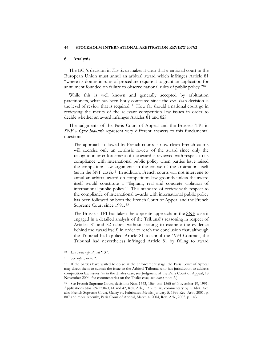#### **6. Analysis**

The ECJ's decision in *Eco Swiss* makes it clear that a national court in the European Union must annul an arbitral award which infringes Article 81 "where its domestic rules of procedure require it to grant an application for annulment founded on failure to observe national rules of public policy."10

While this is well known and generally accepted by arbitration practitioners, what has been hotly contested since the *Eco Swiss* decision is the level of review that is required.11 How far should a national court go in reviewing the merits of the relevant competition law issues in order to decide whether an award infringes Articles 81 and 82?

The judgments of the Paris Court of Appeal and the Brussels TPI in *SNF v Cytec Industrie* represent very different answers to this fundamental question:

- The approach followed by French courts is now clear: French courts will exercise only an extrinsic review of the award since only the recognition or enforcement of the award is reviewed with respect to its compliance with international public policy when parties have raised the competition law arguments in the course of the arbitration itself (as in the SNF case).12 In addition, French courts will not intervene to annul an arbitral award on competition law grounds unless the award itself would constitute a "flagrant, real and concrete violation of international public policy." This standard of review with respect to the compliance of international awards with international public policy has been followed by both the French Court of Appeal and the French Supreme Court since 1991. 13
- The Brussels TPI has taken the opposite approach: in the SNF case it engaged in a detailed analysis of the Tribunal's reasoning in respect of Articles 81 and 82 (albeit without seeking to examine the evidence behind the award itself) in order to reach the conclusion that, although the Tribunal had applied Article 81 to annul the 1993 Contract, the Tribunal had nevertheless infringed Article 81 by failing to award

<sup>10</sup> *Eco Swiss* (*op cit.*), at ¶ 37.

<sup>11</sup> See *supra*, note 2.

<sup>&</sup>lt;sup>12</sup> If the parties have waited to do so at the enforcement stage, the Paris Court of Appeal may direct them to submit the issue to the Arbitral Tribunal who has jurisdiction to address competition law issues (as in the Thalès case, see Judgment of the Paris Court of Appeal, 18 November 2004; for commentaries on the Thalès case, see *supra*, note 2.)

<sup>13</sup> See French Supreme Court, decisions Nos. 1563, 1564 and 1565 of November 19, 1991, Applications Nos. 89-22.040, 41 and 42, Rev. Arb., 1992, p. 76, commentary by L. Idot. See also French Supreme Court, Gallay vs. Fabricated Metals, January 5, 1999 Rev. Arb., 2001, p. 807 and more recently, Paris Court of Appeal, March 4, 2004, Rev. Arb., 2005, p. 143.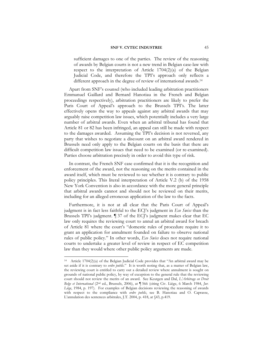sufficient damages to one of the parties. The review of the reasoning of awards by Belgian courts is not a new trend in Belgian case-law with respect to the interpretation of Article 1704(2)(a) of the Belgian Judicial Code, and therefore the TPI's approach only reflects a different approach in the degree of review of international awards.14

Apart from SNF's counsel (who included leading arbitration practitioners Emmanuel Gaillard and Bernard Hanotiau in the French and Belgian proceedings respectively), arbitration practitioners are likely to prefer the Paris Court of Appeal's approach to the Brussels TPI's. The latter effectively opens the way to appeals against any arbitral awards that may arguably raise competition law issues, which potentially includes a very large number of arbitral awards. Even when an arbitral tribunal has found that Article 81 or 82 has been infringed, an appeal can still be made with respect to the damages awarded. Assuming the TPI's decision is not reversed, any party that wishes to negotiate a discount on an arbitral award rendered in Brussels need only apply to the Belgian courts on the basis that there are difficult competition law issues that need to be examined (or re-examined). Parties choose arbitration precisely in order to avoid this type of risk.

In contrast, the French SNF case confirmed that it is the recognition and enforcement of the award, not the reasoning on the merits contained in the award itself, which must be reviewed to see whether it is contrary to public policy principles. This literal interpretation of Article V.2 (b) of the 1958 New York Convention is also in accordance with the more general principle that arbitral awards cannot and should not be reviewed on their merits, including for an alleged erroneous application of the law to the facts.

Furthermore, it is not at all clear that the Paris Court of Appeal's judgment is in fact less faithful to the ECJ's judgment in *Eco Swiss* than the Brussels TPI's judgment. ¶ 37 of the ECJ's judgment makes clear that EC law only requires the reviewing court to annul an arbitral award for breach of Article 81 where the court's "domestic rules of procedure require it to grant an application for annulment founded on failure to observe national rules of public policy." In other words, *Eco Swiss* does not require national courts to undertake a greater level of review in respect of EC competition law than they would where other public policy arguments are made.

<sup>14</sup> Article 1704(2)(a) of the Belgian Judicial Code provides that "An arbitral award may be set aside if it is contrary to *ordre public*." It is worth noting that, as a matter of Belgian law, the reviewing court is entitled to carry out a detailed review where annulment is sought on grounds of national public policy, by way of exception to the general rule that the reviewing court should not review the merits of an award. See Keutgen and Dal, *L'Arbitrage en Droit Belge et International* (2nd ed., Brussels, 2006), at ¶ 566 (citing Civ. Liège, 6 March 1984, *Jur. Liège*, 1984, p. 197). For examples of Belgian decisions reviewing the reasoning of awards with respect to the compliance with *ordre public*, see B. Hanotiau and O. Caprasse, L'annulation des sentences arbitrales, J.T. 2004, p. 418, at §43, p.419.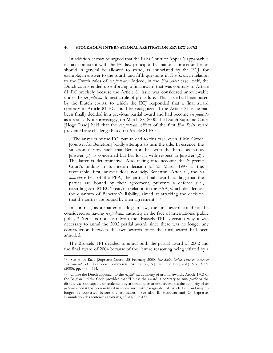#### 46 **STOCKHOLM INTERNATIONAL ARBITRATION REVIEW 2007:2**

In addition, it may be argued that the Paris Court of Appeal's approach is in fact consistent with the EC law principle that national procedural rules should in general be allowed to stand, as enunciated by the ECJ, for example, in answer to the fourth and fifth questions in *Eco Swiss*, in relation to the Dutch rules of *res judicata*. Indeed, in the *Eco Swiss* case itself, the Dutch courts ended up enforcing a final award that was contrary to Article 81 EC precisely because the Article 81 issue was considered unreviewable under the *res judicata* domestic rule of procedure. This issue had been raised by the Dutch courts, to which the ECJ responded that a final award contrary to Article 81 EC could be recognized if the Article 81 issue had been finally decided in a previous partial award and had become *res judicata* as a result. Not surprisingly, on March 28, 2000, the Dutch Supreme Court [Hoge Raad] held that the *res judicata* effect of the first *Eco Swiss* award prevented any challenge based on Article 81 EC:

 "The answers of the ECJ put an end to this case, even if Mr. Groen [counsel for Benetton] boldly attempts to turn the tide. In essence, the situation is now such that Benetton has won the battle as far as [answer (1)] is concerned but has lost it with respect to [answer (2)]. The latter is determinative. Also taking into account the Supreme Court's finding in its interim decision [of 21 March 1997] ... this favourable [first] answer does not help Benetton. After all, the *res judicata* effect of the PFA, the partial final award holding that the parties are bound by their agreement, prevents a defense (i.e., regarding Art. 81 EC Treaty) in relation to the FAA, which decided on the quantum of Benetton's liability, aimed at attacking the decision that the parties are bound by their agreement." 15

In contrast, as a matter of Belgian law, the first award could not be considered as having *res judicata* authority in the face of international public policy.16 Yet it is not clear from the Brussels TPI's decision why it was necessary to annul the 2002 partial award, since there was no longer any contradiction between the two awards once the final award had been annulled.

The Brussels TPI decided to annul both the partial award of 2002 and the final award of 2004 because of the "entire reasoning being vitiated by a

<sup>15</sup> See Hoge Raad [Supreme Court], 25 February 2000, *Eco Swiss China Time vs. Benetton International NV*, Yearbook Commercial Arbitration, A.J. van den Berg (ed.), Vol. XXV  $(2000)$ , pp.  $443 - 534$ .

<sup>16</sup> Unlike the Dutch approach to the *res judicata* authority of arbitral awards, Article 1703 of the Belgian Judicial Code provides that "Unless the award is contrary to *ordre public* or the dispute was not capable of settlement by arbitration, an arbitral award has the authority of *res judicata* when it has been notified in accordance with paragraph 1 of Article 1702 and may no longer be contested before the arbitrators." See also B. Hanotiau and O. Caprasse, L'annulation des sentences arbitrales, *id*. at §99, p.427.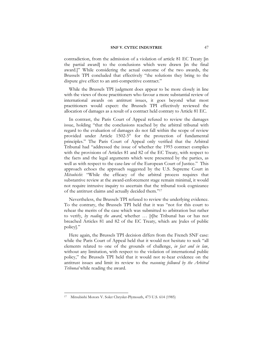contradiction, from the admission of a violation of article 81 EC Treaty [in the partial award] to the conclusions which were drawn [in the final award.]" While considering the actual outcome of the two awards, the Brussels TPI concluded that effectively "the solutions they bring to the dispute give effect to an anti-competitive contract."

While the Brussels TPI judgment does appear to be more closely in line with the views of those practitioners who favour a more substantial review of international awards on antitrust issues, it goes beyond what most practitioners would expect: the Brussels TPI effectively reviewed the allocation of damages as a result of a contract held contrary to Article 81 EC.

In contrast, the Paris Court of Appeal refused to review the damages issue, holding "that the conclusions reached by the arbitral tribunal with regard to the evaluation of damages do not fall within the scope of review provided under Article 1502-5° for the protection of fundamental principles." The Paris Court of Appeal only verified that the Arbitral Tribunal had "addressed the issue of whether the 1993 contract complies with the provisions of Articles 81 and 82 of the EC Treaty, with respect to the facts and the legal arguments which were presented by the parties, as well as with respect to the case-law of the European Court of Justice." This approach echoes the approach suggested by the U.S. Supreme Court in *Mitsubishi*: "While the efficacy of the arbitral process requires that substantive review at the award-enforcement stage remain minimal, it would not require intrusive inquiry to ascertain that the tribunal took cognizance of the antitrust claims and actually decided them."17

Nevertheless, the Brussels TPI refused to review the underlying evidence. To the contrary, the Brussels TPI held that it was "not for this court to rehear the merits of the case which was submitted to arbitration but rather to verify, *by reading the award*, whether … [t]he Tribunal has or has not breached Articles 81 and 82 of the EC Treaty, which are [rules of public policy]."

Here again, the Brussels TPI decision differs from the French SNF case: while the Paris Court of Appeal held that it would not hesitate to seek "all elements related to one of the grounds of challenge, *in fact and in law*, without any limitation, with respect to the violation of international public policy," the Brussels TPI held that it would not re-hear evidence on the antitrust issues and limit its review to the *reasoning followed by the Arbitral Tribunal* while reading the award.

<sup>17</sup> Mitsubishi Motors V. Soler Chrysler-Plymouth, 473 U.S. 614 (1985)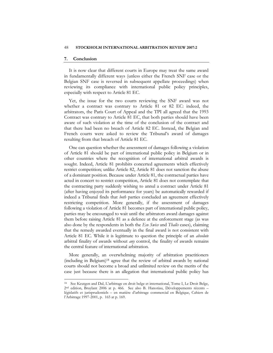#### **7. Conclusion**

 $\overline{a}$ 

It is now clear that different courts in Europe may treat the same award in fundamentally different ways (unless either the French SNF case or the Belgian SNF case is reversed in subsequent appellate proceedings) when reviewing its compliance with international public policy principles, especially with respect to Article 81 EC.

Yet, the issue for the two courts reviewing the SNF award was not whether a contract was contrary to Article 81 or 82 EC: indeed, the arbitrators, the Paris Court of Appeal and the TPI all agreed that the 1993 Contract was contrary to Article 81 EC, that both parties should have been aware of such violation at the time of the conclusion of the contract and that there had been no breach of Article 82 EC. Instead, the Belgian and French courts were asked to review the Tribunal's award of damages resulting from that breach of Article 81 EC.

One can question whether the assessment of damages following a violation of Article 81 should be part of international public policy in Belgium or in other countries where the recognition of international arbitral awards is sought. Indeed, Article 81 prohibits concerted agreements which effectively restrict competition; unlike Article 82, Article 81 does not sanction the abuse of a dominant position. Because under Article 81, the contractual parties have acted in concert to restrict competition, Article 81 does not contemplate that the contracting party suddenly wishing to annul a contract under Article 81 (after having enjoyed its performance for years) be automatically rewarded if indeed a Tribunal finds that *both* parties concluded an agreement effectively restricting competition. More generally, if the assessment of damages following a violation of Article 81 becomes part of international public policy, parties may be encouraged to wait until the arbitrators award damages against them before raising Article 81 as a defence at the enforcement stage (as was also done by the respondents in both the *Eco Swiss* and *Thalès* cases), claiming that the remedy awarded eventually in the final award is not consistent with Article 81 EC. While it is legitimate to question the principle of an *absolute*  arbitral finality of awards without *any* control, the finality of awards remains the central feature of international arbitration.

More generally, an overwhelming majority of arbitration practitioners (including in Belgium)18 agree that the review of arbitral awards by national courts should not become a broad and unlimited review on the merits of the case just because there is an allegation that international public policy has

<sup>18</sup> See Keutgen and Dal, L'arbitrage en droit belge et international, Tome I, Le Droit Belge, 2nd edition, Bruylant 2006 at p. 466. See also B. Hanotiau, Développements récents – législatifs et jurisprudentiels – en matière d'arbitrage commercial en Belgique, Cahiers de l'Arbitrage 1997-2001, p. 165 at p. 169.